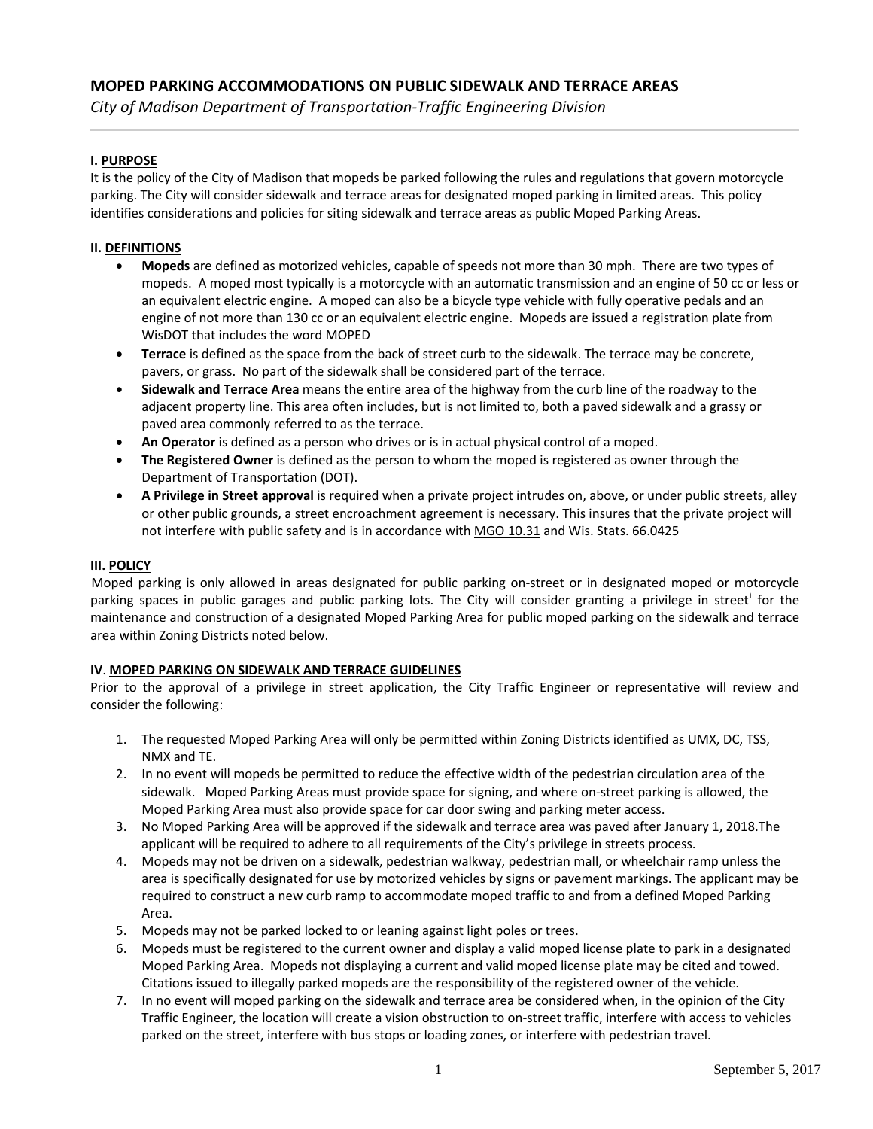*City of Madison Department of Transportation-Traffic Engineering Division*

## **I. PURPOSE**

It is the policy of the City of Madison that mopeds be parked following the rules and regulations that govern motorcycle parking. The City will consider sidewalk and terrace areas for designated moped parking in limited areas. This policy identifies considerations and policies for siting sidewalk and terrace areas as public Moped Parking Areas.

## **II. DEFINITIONS**

- **Mopeds** are defined as motorized vehicles, capable of speeds not more than 30 mph. There are two types of mopeds. A moped most typically is a motorcycle with an automatic transmission and an engine of 50 cc or less or an equivalent electric engine. A moped can also be a bicycle type vehicle with fully operative pedals and an engine of not more than 130 cc or an equivalent electric engine. Mopeds are issued a registration plate from WisDOT that includes the word MOPED
- **Terrace** is defined as the space from the back of street curb to the sidewalk. The terrace may be concrete, pavers, or grass. No part of the sidewalk shall be considered part of the terrace.
- **Sidewalk and Terrace Area** means the entire area of the highway from the curb line of the roadway to the adjacent property line. This area often includes, but is not limited to, both a paved sidewalk and a grassy or paved area commonly referred to as the terrace.
- **An Operator** is defined as a person who drives or is in actual physical control of a moped.
- **The Registered Owner** is defined as the person to whom the moped is registered as owner through the Department of Transportation (DOT).
- **A Privilege in Street approval** is required when a private project intrudes on, above, or under public streets, alley or other public grounds, a street encroachment agreement is necessary. This insures that the private project will not interfere with public safety and is in accordance wit[h MGO 10.31](https://www.cityofmadison.com/ordinances) and Wis. Stats. 66.0425

## **III. POLICY**

Moped parking is only allowed in areas designated for public parking on-street or in designated moped or motorcycle park[i](#page-1-0)ng spaces in public garages and public parking lots. The City will consider granting a privilege in street for the maintenance and construction of a designated Moped Parking Area for public moped parking on the sidewalk and terrace area within Zoning Districts noted below.

## **IV**. **MOPED PARKING ON SIDEWALK AND TERRACE GUIDELINES**

Prior to the approval of a privilege in street application, the City Traffic Engineer or representative will review and consider the following:

- 1. The requested Moped Parking Area will only be permitted within Zoning Districts identified as UMX, DC, TSS, NMX and TE.
- 2. In no event will mopeds be permitted to reduce the effective width of the pedestrian circulation area of the sidewalk. Moped Parking Areas must provide space for signing, and where on-street parking is allowed, the Moped Parking Area must also provide space for car door swing and parking meter access.
- 3. No Moped Parking Area will be approved if the sidewalk and terrace area was paved after January 1, 2018.The applicant will be required to adhere to all requirements of the City's privilege in streets process.
- 4. Mopeds may not be driven on a sidewalk, pedestrian walkway, pedestrian mall, or wheelchair ramp unless the area is specifically designated for use by motorized vehicles by signs or pavement markings. The applicant may be required to construct a new curb ramp to accommodate moped traffic to and from a defined Moped Parking Area.
- 5. Mopeds may not be parked locked to or leaning against light poles or trees.
- 6. Mopeds must be registered to the current owner and display a valid moped license plate to park in a designated Moped Parking Area. Mopeds not displaying a current and valid moped license plate may be cited and towed. Citations issued to illegally parked mopeds are the responsibility of the registered owner of the vehicle.
- 7. In no event will moped parking on the sidewalk and terrace area be considered when, in the opinion of the City Traffic Engineer, the location will create a vision obstruction to on-street traffic, interfere with access to vehicles parked on the street, interfere with bus stops or loading zones, or interfere with pedestrian travel.